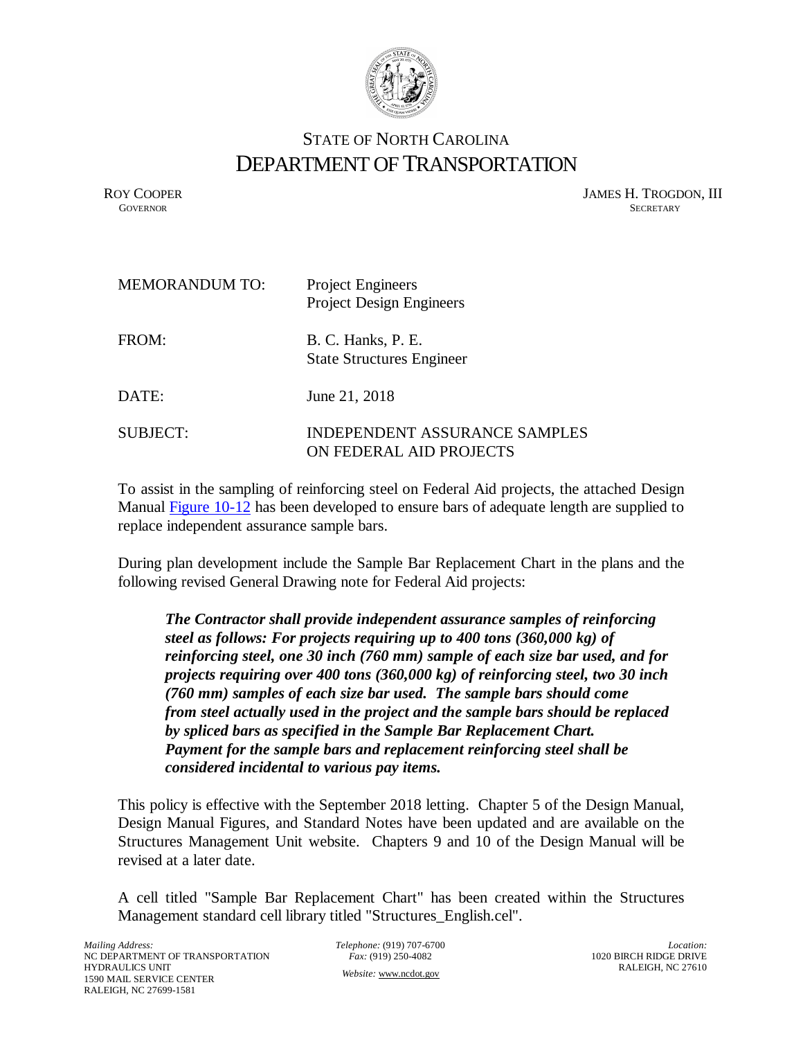

## STATE OF NORTH CAROLINA DEPARTMENT OF TRANSPORTATION

ROY COOPER JAMES H. TROGDON, III<br>GOVERNOR SECRETARY SECRETARY **GOVERNOR** SECRETARY

| <b>MEMORANDUM TO:</b> | <b>Project Engineers</b><br><b>Project Design Engineers</b>     |
|-----------------------|-----------------------------------------------------------------|
| FROM:                 | B. C. Hanks, P. E.<br><b>State Structures Engineer</b>          |
| DATE:                 | June 21, 2018                                                   |
| <b>SUBJECT:</b>       | <b>INDEPENDENT ASSURANCE SAMPLES</b><br>ON FEDERAL AID PROJECTS |

To assis[t in the sampl](https://connect.ncdot.gov/resources/Structures/StructureResources/Figures2016Dec.pdf)ing of reinforcing steel on Federal Aid projects, the attached Design Manual Figure 10-12 has been developed to ensure bars of adequate length are supplied to replace independent assurance sample bars.

During plan development include the Sample Bar Replacement Chart in the plans and the following revised General Drawing note for Federal Aid projects:

*The Contractor shall provide independent assurance samples of reinforcing steel as follows: For projects requiring up to 400 tons (360,000 kg) of reinforcing steel, one 30 inch (760 mm) sample of each size bar used, and for projects requiring over 400 tons (360,000 kg) of reinforcing steel, two 30 inch (760 mm) samples of each size bar used. The sample bars should come from steel actually used in the project and the sample bars should be replaced by spliced bars as specified in the Sample Bar Replacement Chart. Payment for the sample bars and replacement reinforcing steel shall be considered incidental to various pay items.* 

This policy is effective with the September 2018 letting. Chapter 5 of the Design Manual, Design Manual Figures, and Standard Notes have been updated and are available on the Structures Management Unit website. Chapters 9 and 10 of the Design Manual will be revised at a later date.

A cell titled "Sample Bar Replacement Chart" has been created within the Structures Management standard cell library titled "Structures\_English.cel".

*Telephone:* (919) 707-6700 *Fax:* (919) 250-4082 *Website:* [www.ncdot.gov](http://www.ncdot.gov/)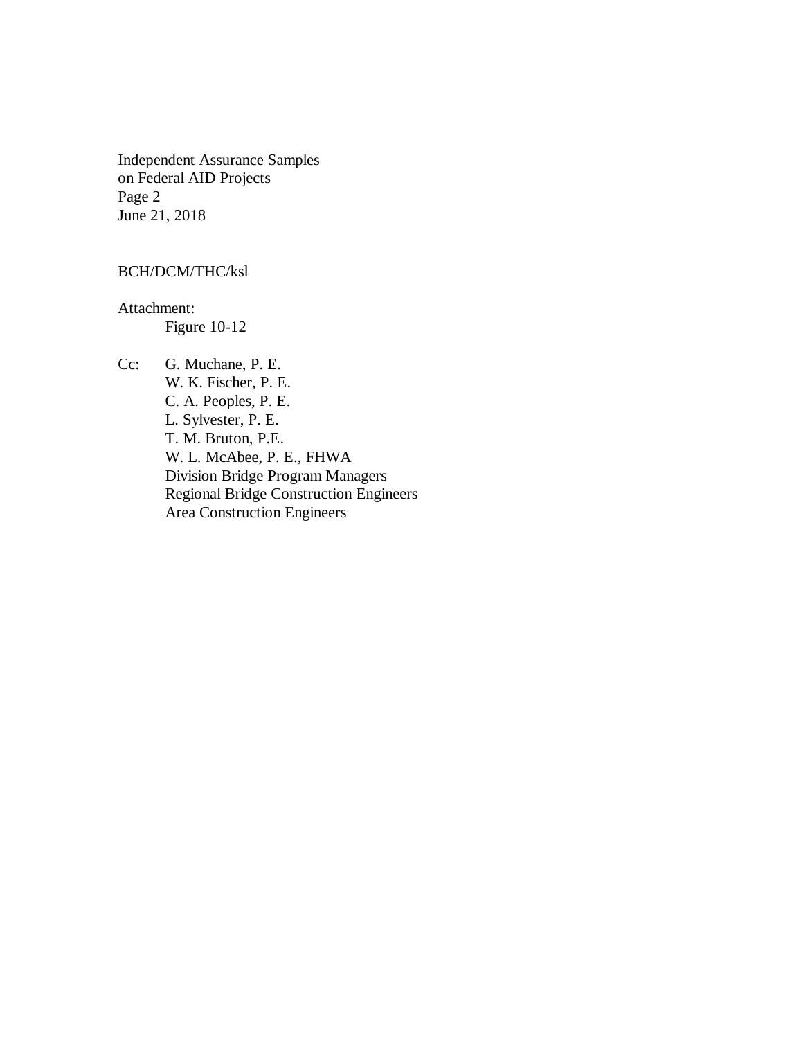Independent Assurance Samples on Federal AID Projects Page 2 June 21, 2018

## BCH/DCM/THC/ksl

Attachment: Figure 10-12

Cc: G. Muchane, P. E. W. K. Fischer, P. E. C. A. Peoples, P. E. L. Sylvester, P. E. T. M. Bruton, P.E. W. L. McAbee, P. E., FHWA Division Bridge Program Managers Regional Bridge Construction Engineers Area Construction Engineers